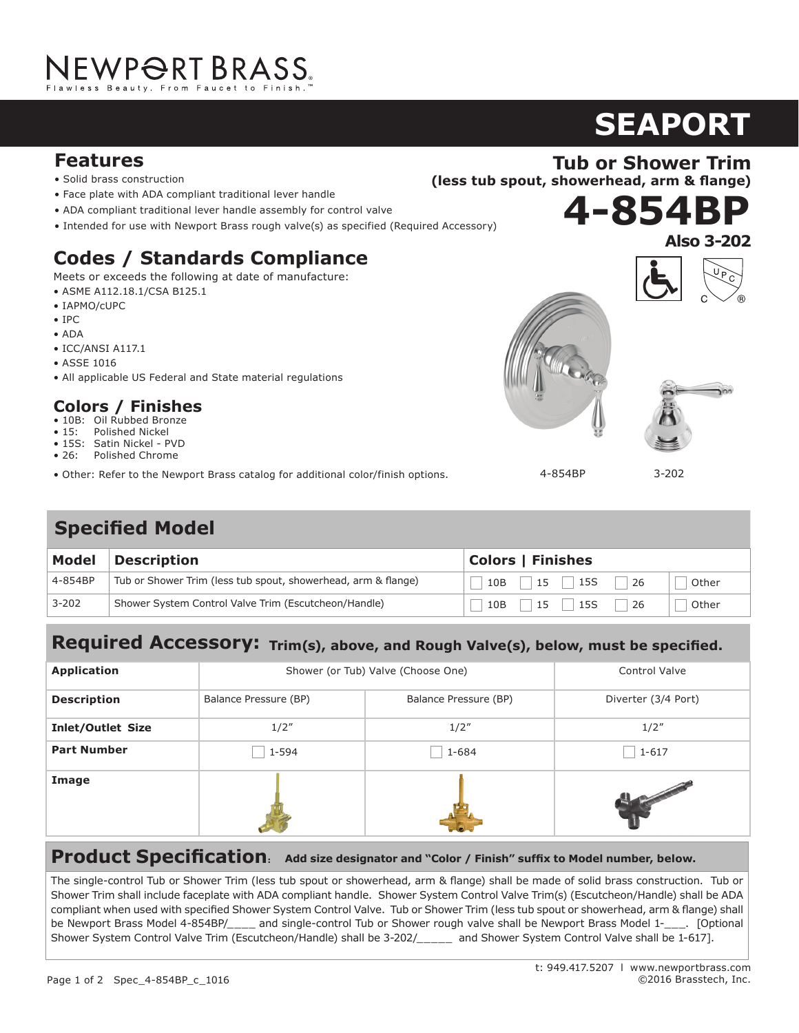### **Features**

- Solid brass construction
- Face plate with ADA compliant traditional lever handle<br>• ADA compliant traditional lover handle assembly for co
- ADA compliant traditional lever handle assembly for control valve
- Intended for use with Newport Brass rough valve(s) as specified (Required Accessory)

# Codes / Standards Compliance

Meets or exceeds the following at date of manufacture:

- $\bullet$  ASME A112.18.1/CSA B125.1
- IAPMO/cUPC
- IPC
- ADA
- ICC/ANSI A117.1  $\overline{P}$  + Poperation with tailor with tailor with tailor with tailor with tailor with tailor with tailor with tailor with the set of  $\overline{P}$
- ASSE 1016
- All applicable US Federal and State material regulations

# **Colors / Finishes<br>- Maximum 2006 cm**

- 10B: Oil Rubbed Bronze
- 15: Polished Nickel • 15. Formalied Mickel<br>• 15S: Satin Nickel - PVD
- 26: Polished Chrome
- 20. Tronshed Chronie<br>• Other: Refer to the Newport Brass catalog for additional color/finish options. Meets or exceeds the following at date of manufacture:

# **Specified Model**

| Model     | Description                                                   | <b>Colors   Finishes</b>                                  |  |
|-----------|---------------------------------------------------------------|-----------------------------------------------------------|--|
| 4-854BP   | Tub or Shower Trim (less tub spout, showerhead, arm & flange) | $\vert$ 15 $\vert$ 15S<br>10B<br>26<br>Other              |  |
| $3 - 202$ | Shower System Control Valve Trim (Escutcheon/Handle)          | $\vert 15 \vert$ $\vert 15S \vert$<br>10B<br>-26<br>Other |  |

#### ed Accessory:  $\boldsymbol{w}$  must be snot Required Accessory: Trim(s), above, and Rough Valve(s), below, must be specified.

| <b>Application</b>       | Shower (or Tub) Valve (Choose One) |                       | <b>Control Valve</b> |
|--------------------------|------------------------------------|-----------------------|----------------------|
| <b>Description</b>       | Balance Pressure (BP)              | Balance Pressure (BP) | Diverter (3/4 Port)  |
| <b>Inlet/Outlet Size</b> | 1/2''                              | 1/2''                 | 1/2''                |
| <b>Part Number</b>       | 1-594                              | 1-684                 | $1 - 617$            |
| Image                    |                                    |                       |                      |

### **Product Specification: Add size designator and "Color / Finish" suffix to Model number, below.**

compliant when used with specified Shower System Control Valve. Tub or Shower Trim (less tub spout or showerhead, arm & flange) shall  $\frac{1}{100}$  Control Valva Trim (Escutcheon (Handle) shall be 2.2021 construction. Faucet shall he spout assembly with a spout assembly with  $\frac{1}{100}$ Shower System Control Valve Trim (Escutcheon/Handle) shall be 3-202/\_\_\_\_\_ and Shower System Control Valve shall be 1-617]. The single-control Tub or Shower Trim (less tub spout or showerhead, arm & flange) shall be made of solid brass construction. Tub or Shower Trim shall include faceplate with ADA compliant handle. Shower System Control Valve Trim(s) (Escutcheon/Handle) shall be ADA be Newport Brass Model 4-854BP/\_\_\_\_ and single-control Tub or Shower rough valve shall be Newport Brass Model 1-\_\_\_. [Optional

# **SEAPORT Tub or Shower Trim**

**9**<br>2

**4-854BP**

**(less tub spout, showerhead, arm & flange)** 





**Also 3-202**

4-854BP

3-202